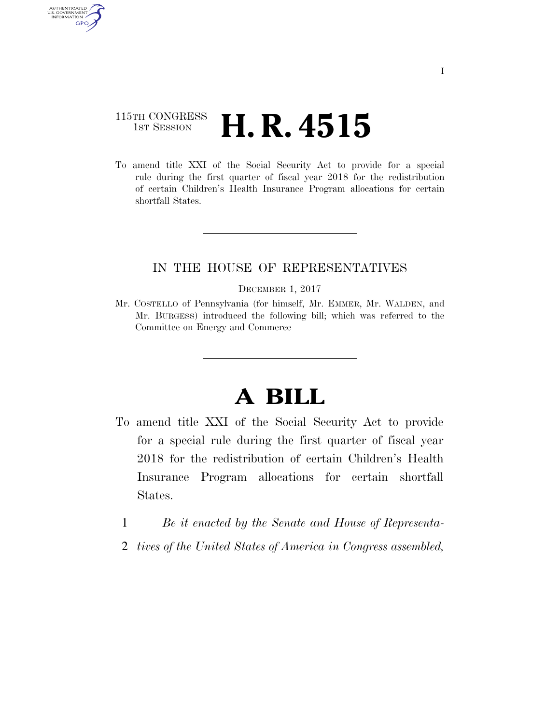## 115TH CONGRESS **1st Session H. R. 4515**

AUTHENTICATED<br>U.S. GOVERNMENT<br>INFORMATION

**GPO** 

To amend title XXI of the Social Security Act to provide for a special rule during the first quarter of fiscal year 2018 for the redistribution of certain Children's Health Insurance Program allocations for certain shortfall States.

## IN THE HOUSE OF REPRESENTATIVES

## DECEMBER 1, 2017

Mr. COSTELLO of Pennsylvania (for himself, Mr. EMMER, Mr. WALDEN, and Mr. BURGESS) introduced the following bill; which was referred to the Committee on Energy and Commerce

## **A BILL**

- To amend title XXI of the Social Security Act to provide for a special rule during the first quarter of fiscal year 2018 for the redistribution of certain Children's Health Insurance Program allocations for certain shortfall States.
	- 1 *Be it enacted by the Senate and House of Representa-*
	- 2 *tives of the United States of America in Congress assembled,*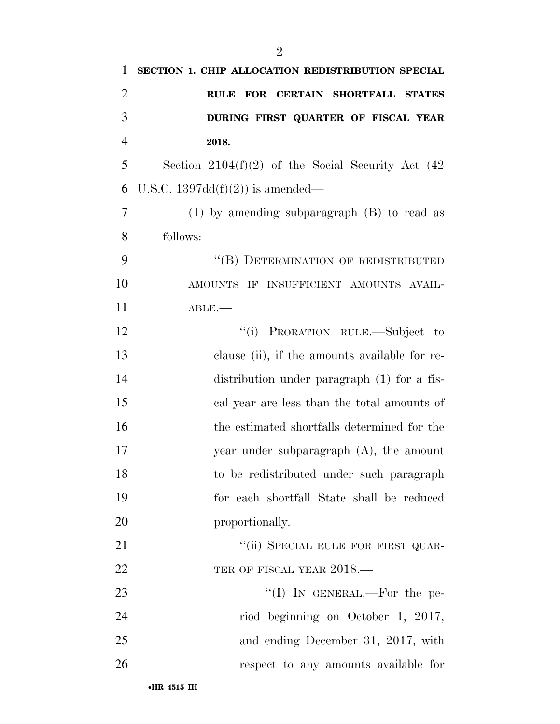| $\mathbf{1}$   | SECTION 1. CHIP ALLOCATION REDISTRIBUTION SPECIAL    |
|----------------|------------------------------------------------------|
| $\overline{2}$ | FOR CERTAIN SHORTFALL STATES<br><b>RULE</b>          |
| 3              | DURING FIRST QUARTER OF FISCAL YEAR                  |
| $\overline{4}$ | 2018.                                                |
| 5              | Section $2104(f)(2)$ of the Social Security Act (42) |
| 6              | U.S.C. $1397dd(f)(2)$ is amended—                    |
| $\overline{7}$ | $(1)$ by amending subparagraph $(B)$ to read as      |
| 8              | follows:                                             |
| 9              | "(B) DETERMINATION OF REDISTRIBUTED                  |
| 10             | AMOUNTS IF INSUFFICIENT AMOUNTS AVAIL-               |
| 11             | ABLE.                                                |
| 12             | "(i) PRORATION RULE.—Subject to                      |
| 13             | clause (ii), if the amounts available for re-        |
| 14             | distribution under paragraph (1) for a fis-          |
| 15             | cal year are less than the total amounts of          |
| 16             | the estimated shortfalls determined for the          |
| 17             | year under subparagraph $(A)$ , the amount           |
| 18             | to be redistributed under such paragraph             |
| 19             | for each shortfall State shall be reduced            |
| 20             | proportionally.                                      |
| 21             | "(ii) SPECIAL RULE FOR FIRST QUAR-                   |
| 22             | TER OF FISCAL YEAR 2018.-                            |
| 23             | "(I) IN GENERAL.—For the pe-                         |
| 24             | riod beginning on October 1, 2017,                   |
| 25             | and ending December 31, 2017, with                   |
| 26             | respect to any amounts available for                 |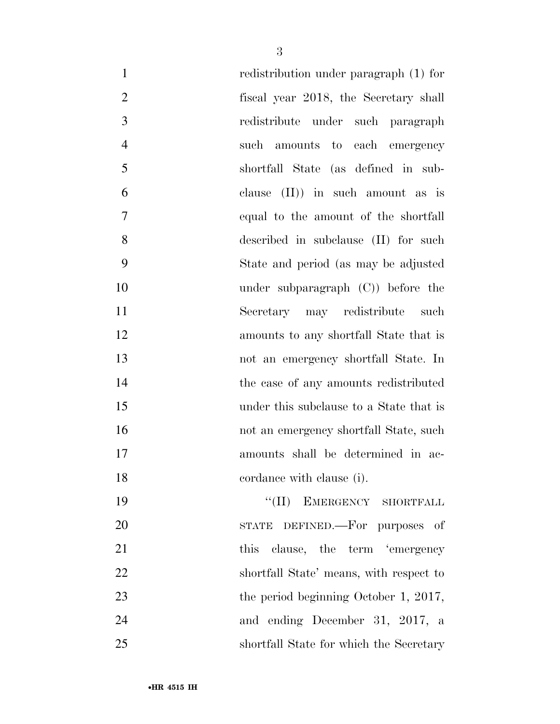| $\mathbf{1}$   | redistribution under paragraph (1) for  |
|----------------|-----------------------------------------|
| $\overline{2}$ | fiscal year 2018, the Secretary shall   |
| 3              | redistribute under such paragraph       |
| $\overline{4}$ | such amounts to each emergency          |
| 5              | shortfall State (as defined in sub-     |
| 6              | clause $(II)$ in such amount as is      |
| $\overline{7}$ | equal to the amount of the shortfall    |
| 8              | described in subclause (II) for such    |
| 9              | State and period (as may be adjusted    |
| 10             | under subparagraph $(C)$ ) before the   |
| 11             | Secretary may redistribute such         |
| 12             | amounts to any shortfall State that is  |
| 13             | not an emergency shortfall State. In    |
| 14             | the case of any amounts redistributed   |
| 15             | under this subclause to a State that is |
| 16             | not an emergency shortfall State, such  |
| 17             | amounts shall be determined in ac-      |
| 18             | cordance with clause (i).               |
| 19             | "(II) EMERGENCY SHORTFALL               |
| 20             | STATE DEFINED.—For purposes of          |
| 21             | clause, the term 'emergency<br>this     |
| 22             | shortfall State' means, with respect to |
| 23             | the period beginning October 1, 2017,   |
| 24             | and ending December 31, 2017, a         |
| 25             | shortfall State for which the Secretary |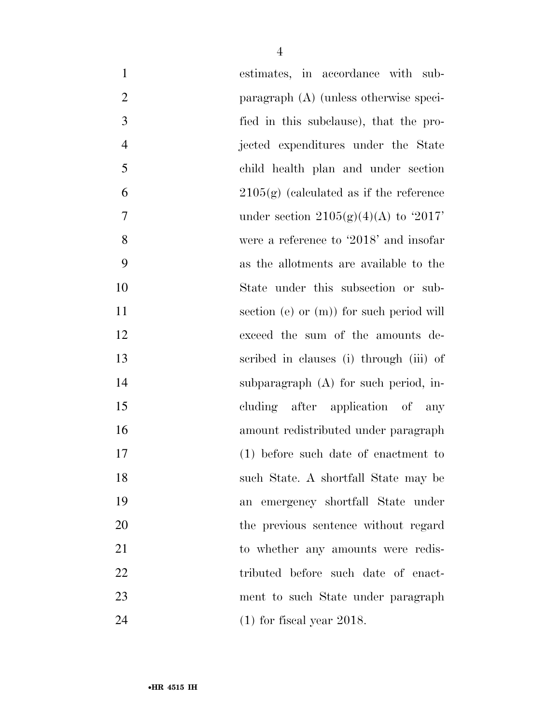| $\mathbf{1}$     | estimates, in accordance with sub-          |
|------------------|---------------------------------------------|
| $\overline{2}$   | paragraph $(A)$ (unless otherwise speci-    |
| 3                | fied in this subclause), that the pro-      |
| $\overline{4}$   | jected expenditures under the State         |
| 5                | child health plan and under section         |
| 6                | $2105(g)$ (calculated as if the reference   |
| $\boldsymbol{7}$ | under section $2105(g)(4)(A)$ to '2017'     |
| 8                | were a reference to '2018' and insofar      |
| 9                | as the allotments are available to the      |
| 10               | State under this subsection or sub-         |
| 11               | section (e) or $(m)$ ) for such period will |
| 12               | exceed the sum of the amounts de-           |
| 13               | scribed in clauses (i) through (iii) of     |
| 14               | subparagraph $(A)$ for such period, in-     |
| 15               | cluding after application of any            |
| 16               | amount redistributed under paragraph        |
| 17               | $(1)$ before such date of enactment to      |
| 18               | such State. A shortfall State may be        |
| 19               | an emergency shortfall State under          |
| 20               | the previous sentence without regard        |
| 21               | to whether any amounts were redis-          |
| 22               | tributed before such date of enact-         |
| 23               | ment to such State under paragraph          |
| 24               | $(1)$ for fiscal year 2018.                 |